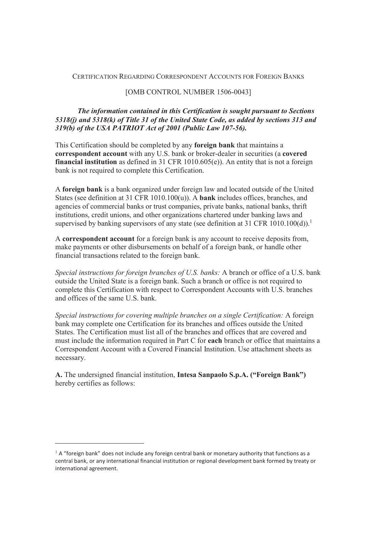#### CERTIFICATION REGARDING CORRESPONDENT ACCOUNTS FOR FOREIGN BANKS

#### [OMB CONTROL NUMBER 1506-0043]

## *The information contained in this Certification is sought pursuant to Sections 5318(j) and 5318(k) of Title 31 of the United State Code, as added by sections 313 and 319(b) of the USA PATRIOT Act of 2001 (Public Law 107-56).*

This Certification should be completed by any **foreign bank** that maintains a **correspondent account** with any U.S. bank or broker-dealer in securities (a **covered financial institution** as defined in 31 CFR 1010.605(e)). An entity that is not a foreign bank is not required to complete this Certification.

A **foreign bank** is a bank organized under foreign law and located outside of the United States (see definition at 31 CFR 1010.100(u)). A **bank** includes offices, branches, and agencies of commercial banks or trust companies, private banks, national banks, thrift institutions, credit unions, and other organizations chartered under banking laws and supervised by banking supervisors of any state (see definition at 31 CFR 1010.100(d)).<sup>1</sup>

A **correspondent account** for a foreign bank is any account to receive deposits from, make payments or other disbursements on behalf of a foreign bank, or handle other financial transactions related to the foreign bank.

*Special instructions for foreign branches of U.S. banks:* A branch or office of a U.S. bank outside the United State is a foreign bank. Such a branch or office is not required to complete this Certification with respect to Correspondent Accounts with U.S. branches and offices of the same U.S. bank.

*Special instructions for covering multiple branches on a single Certification:* A foreign bank may complete one Certification for its branches and offices outside the United States. The Certification must list all of the branches and offices that are covered and must include the information required in Part C for **each** branch or office that maintains a Correspondent Account with a Covered Financial Institution. Use attachment sheets as necessary.

**A.** The undersigned financial institution, **Intesa Sanpaolo S.p.A. ("Foreign Bank")**  hereby certifies as follows:

-

 $1$  A "foreign bank" does not include any foreign central bank or monetary authority that functions as a central bank, or any international financial institution or regional development bank formed by treaty or international agreement.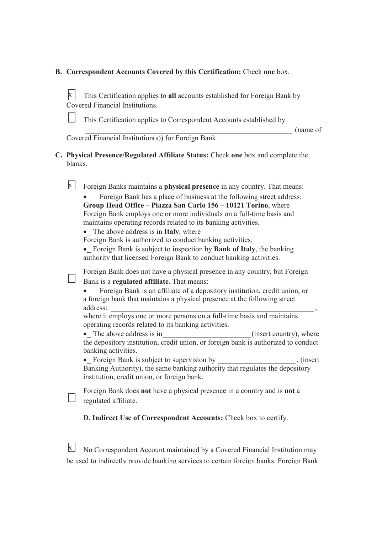# **B. Correspondent Accounts Covered by this Certification:** Check **one** box.

| X                                                   | This Certification applies to all accounts established for Foreign Bank by<br>Covered Financial Institutions.                                                                                                                                                                                                                                                                                                                                                                                                                                                                                                                                                                                                                                                                                       |  |  |  |  |  |  |  |
|-----------------------------------------------------|-----------------------------------------------------------------------------------------------------------------------------------------------------------------------------------------------------------------------------------------------------------------------------------------------------------------------------------------------------------------------------------------------------------------------------------------------------------------------------------------------------------------------------------------------------------------------------------------------------------------------------------------------------------------------------------------------------------------------------------------------------------------------------------------------------|--|--|--|--|--|--|--|
|                                                     | This Certification applies to Correspondent Accounts established by<br>(name of                                                                                                                                                                                                                                                                                                                                                                                                                                                                                                                                                                                                                                                                                                                     |  |  |  |  |  |  |  |
| Covered Financial Institution(s)) for Foreign Bank. |                                                                                                                                                                                                                                                                                                                                                                                                                                                                                                                                                                                                                                                                                                                                                                                                     |  |  |  |  |  |  |  |
| blanks.                                             | C. Physical Presence/Regulated Affiliate Status: Check one box and complete the                                                                                                                                                                                                                                                                                                                                                                                                                                                                                                                                                                                                                                                                                                                     |  |  |  |  |  |  |  |
| $\mathbf{X}$                                        | Foreign Banks maintains a physical presence in any country. That means:<br>Foreign Bank has a place of business at the following street address:<br>Group Head Office - Piazza San Carlo 156 - 10121 Torino, where<br>Foreign Bank employs one or more individuals on a full-time basis and<br>maintains operating records related to its banking activities.<br>• The above address is in Italy, where<br>Foreign Bank is authorized to conduct banking activities.<br>• Foreign Bank is subject to inspection by Bank of Italy, the banking<br>authority that licensed Foreign Bank to conduct banking activities.                                                                                                                                                                                |  |  |  |  |  |  |  |
|                                                     | Foreign Bank does not have a physical presence in any country, but Foreign<br>Bank is a regulated affiliate. That means:<br>Foreign Bank is an affiliate of a depository institution, credit union, or<br>a foreign bank that maintains a physical presence at the following street<br>address:<br>where it employs one or more persons on a full-time basis and maintains<br>operating records related to its banking activities.<br>• The above address is in<br>(insert country), where<br>the depository institution, credit union, or foreign bank is authorized to conduct<br>banking activities.<br>• Foreign Bank is subject to supervision by<br>, (insert)<br>Banking Authority), the same banking authority that regulates the depository<br>institution, credit union, or foreign bank. |  |  |  |  |  |  |  |
|                                                     | Foreign Bank does not have a physical presence in a country and is not a<br>regulated affiliate.                                                                                                                                                                                                                                                                                                                                                                                                                                                                                                                                                                                                                                                                                                    |  |  |  |  |  |  |  |
|                                                     | D. Indirect Use of Correspondent Accounts: Check box to certify.                                                                                                                                                                                                                                                                                                                                                                                                                                                                                                                                                                                                                                                                                                                                    |  |  |  |  |  |  |  |

 $\overline{\mathbf{x}}$  No Correspondent Account maintained by a Covered Financial Institution may be used to indirectly provide banking services to certain foreign banks. Foreign Bank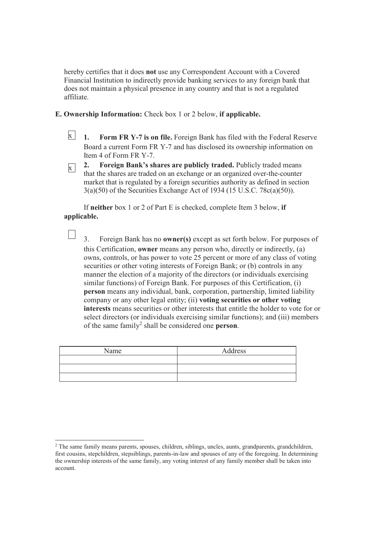hereby certifies that it does **not** use any Correspondent Account with a Covered Financial Institution to indirectly provide banking services to any foreign bank that does not maintain a physical presence in any country and that is not a regulated affiliate.

- **E. Ownership Information:** Check box 1 or 2 below, **if applicable.** 
	- **1. Form FR Y-7 is on file.** Foreign Bank has filed with the Federal Reserve Board a current Form FR Y-7 and has disclosed its ownership information on Item 4 of Form FR Y-7.  $\overline{x}$  1.
	- **2. Foreign Bank's shares are publicly traded.** Publicly traded means that the shares are traded on an exchange or an organized over-the-counter market that is regulated by a foreign securities authority as defined in section 3(a)(50) of the Securities Exchange Act of 1934 (15 U.S.C. 78c(a)(50)).  $\mathbf{x}$

If **neither** box 1 or 2 of Part E is checked, complete Item 3 below, **if applicable.** 

 $\mathbf{1}$ 

3. Foreign Bank has no **owner(s)** except as set forth below. For purposes of this Certification, **owner** means any person who, directly or indirectly, (a) owns, controls, or has power to vote 25 percent or more of any class of voting securities or other voting interests of Foreign Bank; or (b) controls in any manner the election of a majority of the directors (or individuals exercising similar functions) of Foreign Bank. For purposes of this Certification, (i) **person** means any individual, bank, corporation, partnership, limited liability company or any other legal entity; (ii) **voting securities or other voting interests** means securities or other interests that entitle the holder to vote for or select directors (or individuals exercising similar functions); and (iii) members of the same family<sup>2</sup> shall be considered one **person**.

| Name | Address |
|------|---------|
|      |         |
|      |         |
|      |         |

 $\overline{a}$ <sup>2</sup> The same family means parents, spouses, children, siblings, uncles, aunts, grandparents, grandchildren, first cousins, stepchildren, stepsiblings, parents-in-law and spouses of any of the foregoing. In determining the ownership interests of the same family, any voting interest of any family member shall be taken into account.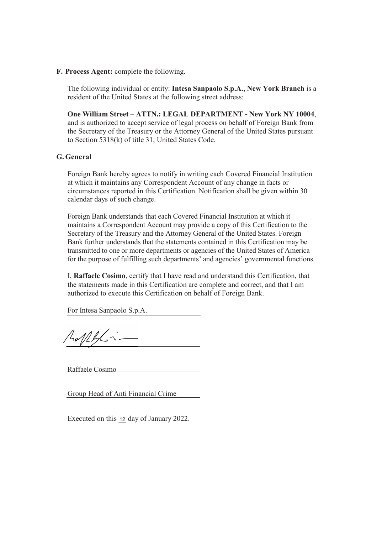**F. Process Agent:** complete the following.

The following individual or entity: **Intesa Sanpaolo S.p.A., New York Branch** is a resident of the United States at the following street address:

**One William Street – ATTN.: LEGAL DEPARTMENT - New York NY 10004**, and is authorized to accept service of legal process on behalf of Foreign Bank from the Secretary of the Treasury or the Attorney General of the United States pursuant to Section 5318(k) of title 31, United States Code.

### **G. General**

Foreign Bank hereby agrees to notify in writing each Covered Financial Institution at which it maintains any Correspondent Account of any change in facts or circumstances reported in this Certification. Notification shall be given within 30 calendar days of such change.

Foreign Bank understands that each Covered Financial Institution at which it maintains a Correspondent Account may provide a copy of this Certification to the Secretary of the Treasury and the Attorney General of the United States. Foreign Bank further understands that the statements contained in this Certification may be transmitted to one or more departments or agencies of the United States of America for the purpose of fulfilling such departments' and agencies' governmental functions.

I, **Raffaele Cosimo**, certify that I have read and understand this Certification, that the statements made in this Certification are complete and correct, and that I am authorized to execute this Certification on behalf of Foreign Bank.

For Intesa Sanpaolo S.p.A.

 $A_0/11/6$ 

Raffaele Cosimo

Group Head of Anti Financial Crime

Executed on this 12 day of January 2022.